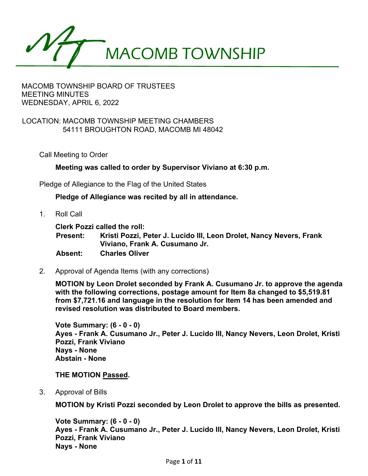

## MACOMB TOWNSHIP BOARD OF TRUSTEES MEETING MINUTES WEDNESDAY, APRIL 6, 2022

## LOCATION: MACOMB TOWNSHIP MEETING CHAMBERS 54111 BROUGHTON ROAD, MACOMB MI 48042

Call Meeting to Order

**Meeting was called to order by Supervisor Viviano at 6:30 p.m.**

Pledge of Allegiance to the Flag of the United States

**Pledge of Allegiance was recited by all in attendance.**

1. Roll Call

**Clerk Pozzi called the roll:**

**Present: Kristi Pozzi, Peter J. Lucido III, Leon Drolet, Nancy Nevers, Frank Viviano, Frank A. Cusumano Jr. Absent: Charles Oliver**

2. Approval of Agenda Items (with any corrections)

**MOTION by Leon Drolet seconded by Frank A. Cusumano Jr. to approve the agenda with the following corrections, postage amount for Item 8a changed to \$5,519.81 from \$7,721.16 and language in the resolution for Item 14 has been amended and revised resolution was distributed to Board members.** 

**Vote Summary: (6 - 0 - 0) Ayes - Frank A. Cusumano Jr., Peter J. Lucido III, Nancy Nevers, Leon Drolet, Kristi Pozzi, Frank Viviano Nays - None Abstain - None** 

**THE MOTION Passed.**

3. Approval of Bills

**MOTION by Kristi Pozzi seconded by Leon Drolet to approve the bills as presented.** 

**Vote Summary: (6 - 0 - 0) Ayes - Frank A. Cusumano Jr., Peter J. Lucido III, Nancy Nevers, Leon Drolet, Kristi Pozzi, Frank Viviano Nays - None**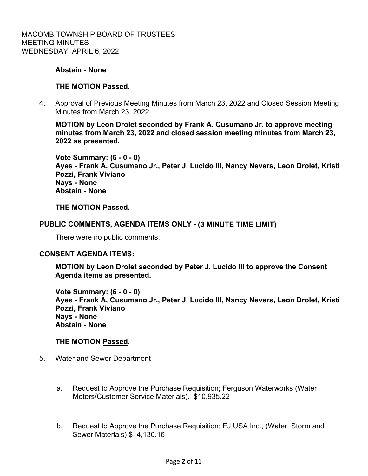## **Abstain - None**

## **THE MOTION Passed.**

 4. Approval of Previous Meeting Minutes from March 23, 2022 and Closed Session Meeting Minutes from March 23, 2022

**MOTION by Leon Drolet seconded by Frank A. Cusumano Jr. to approve meeting minutes from March 23, 2022 and closed session meeting minutes from March 23, 2022 as presented.** 

**Vote Summary: (6 - 0 - 0) Ayes - Frank A. Cusumano Jr., Peter J. Lucido III, Nancy Nevers, Leon Drolet, Kristi Pozzi, Frank Viviano Nays - None Abstain - None** 

### **THE MOTION Passed.**

### **PUBLIC COMMENTS, AGENDA ITEMS ONLY - (3 MINUTE TIME LIMIT)**

There were no public comments.

### **CONSENT AGENDA ITEMS:**

**MOTION by Leon Drolet seconded by Peter J. Lucido III to approve the Consent Agenda items as presented.** 

**Vote Summary: (6 - 0 - 0) Ayes - Frank A. Cusumano Jr., Peter J. Lucido III, Nancy Nevers, Leon Drolet, Kristi Pozzi, Frank Viviano Nays - None Abstain - None** 

### **THE MOTION Passed.**

- 5. Water and Sewer Department
	- a. Request to Approve the Purchase Requisition; Ferguson Waterworks (Water Meters/Customer Service Materials). \$10,935.22
	- b. Request to Approve the Purchase Requisition; EJ USA Inc., (Water, Storm and Sewer Materials) \$14,130.16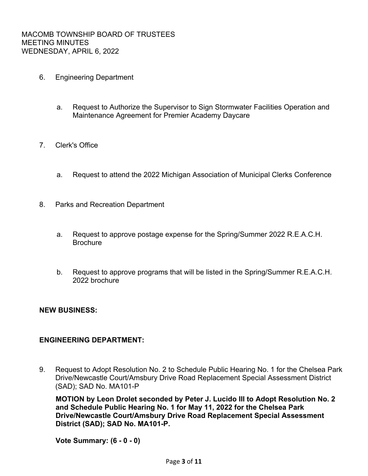- 6. Engineering Department
	- a. Request to Authorize the Supervisor to Sign Stormwater Facilities Operation and Maintenance Agreement for Premier Academy Daycare
- 7. Clerk's Office
	- a. Request to attend the 2022 Michigan Association of Municipal Clerks Conference
- 8. Parks and Recreation Department
	- a. Request to approve postage expense for the Spring/Summer 2022 R.E.A.C.H. **Brochure**
	- b. Request to approve programs that will be listed in the Spring/Summer R.E.A.C.H. 2022 brochure

### **NEW BUSINESS:**

## **ENGINEERING DEPARTMENT:**

9. Request to Adopt Resolution No. 2 to Schedule Public Hearing No. 1 for the Chelsea Park Drive/Newcastle Court/Amsbury Drive Road Replacement Special Assessment District (SAD); SAD No. MA101-P

**MOTION by Leon Drolet seconded by Peter J. Lucido III to Adopt Resolution No. 2 and Schedule Public Hearing No. 1 for May 11, 2022 for the Chelsea Park Drive/Newcastle Court/Amsbury Drive Road Replacement Special Assessment District (SAD); SAD No. MA101-P.** 

**Vote Summary: (6 - 0 - 0)**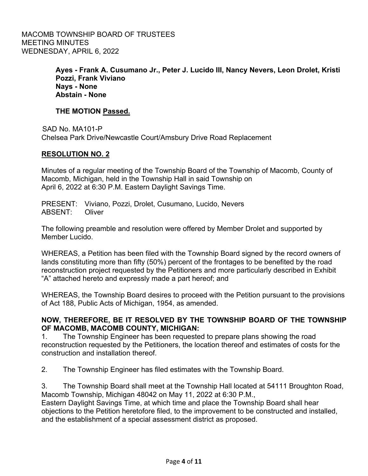MACOMB TOWNSHIP BOARD OF TRUSTEES MEETING MINUTES WEDNESDAY, APRIL 6, 2022

> **Ayes - Frank A. Cusumano Jr., Peter J. Lucido III, Nancy Nevers, Leon Drolet, Kristi Pozzi, Frank Viviano Nays - None Abstain - None**

## **THE MOTION Passed.**

SAD No. MA101-P Chelsea Park Drive/Newcastle Court/Amsbury Drive Road Replacement

## **RESOLUTION NO. 2**

Minutes of a regular meeting of the Township Board of the Township of Macomb, County of Macomb, Michigan, held in the Township Hall in said Township on April 6, 2022 at 6:30 P.M. Eastern Daylight Savings Time.

PRESENT: Viviano, Pozzi, Drolet, Cusumano, Lucido, Nevers ABSENT: Oliver

The following preamble and resolution were offered by Member Drolet and supported by Member Lucido.

WHEREAS, a Petition has been filed with the Township Board signed by the record owners of lands constituting more than fifty (50%) percent of the frontages to be benefited by the road reconstruction project requested by the Petitioners and more particularly described in Exhibit "A" attached hereto and expressly made a part hereof; and

WHEREAS, the Township Board desires to proceed with the Petition pursuant to the provisions of Act 188, Public Acts of Michigan, 1954, as amended.

## **NOW, THEREFORE, BE IT RESOLVED BY THE TOWNSHIP BOARD OF THE TOWNSHIP OF MACOMB, MACOMB COUNTY, MICHIGAN:**

1. The Township Engineer has been requested to prepare plans showing the road reconstruction requested by the Petitioners, the location thereof and estimates of costs for the construction and installation thereof.

2. The Township Engineer has filed estimates with the Township Board.

3. The Township Board shall meet at the Township Hall located at 54111 Broughton Road, Macomb Township, Michigan 48042 on May 11, 2022 at 6:30 P.M.,

Eastern Daylight Savings Time, at which time and place the Township Board shall hear objections to the Petition heretofore filed, to the improvement to be constructed and installed, and the establishment of a special assessment district as proposed.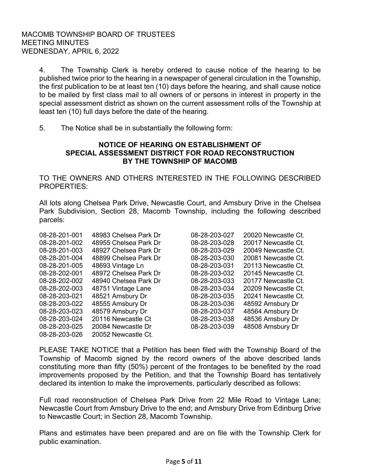4. The Township Clerk is hereby ordered to cause notice of the hearing to be published twice prior to the hearing in a newspaper of general circulation in the Township, the first publication to be at least ten (10) days before the hearing, and shall cause notice to be mailed by first class mail to all owners of or persons in interest in property in the special assessment district as shown on the current assessment rolls of the Township at least ten (10) full days before the date of the hearing.

5. The Notice shall be in substantially the following form:

## **NOTICE OF HEARING ON ESTABLISHMENT OF SPECIAL ASSESSMENT DISTRICT FOR ROAD RECONSTRUCTION BY THE TOWNSHIP OF MACOMB**

TO THE OWNERS AND OTHERS INTERESTED IN THE FOLLOWING DESCRIBED PROPERTIES:

All lots along Chelsea Park Drive, Newcastle Court, and Amsbury Drive in the Chelsea Park Subdivision, Section 28, Macomb Township, including the following described parcels:

| 08-28-201-001 | 48983 Chelsea Park Dr | 08-28-203-027 | 20020 Newcastle Ct. |
|---------------|-----------------------|---------------|---------------------|
| 08-28-201-002 | 48955 Chelsea Park Dr | 08-28-203-028 | 20017 Newcastle Ct. |
| 08-28-201-003 | 48927 Chelsea Park Dr | 08-28-203-029 | 20049 Newcastle Ct. |
| 08-28-201-004 | 48899 Chelsea Park Dr | 08-28-203-030 | 20081 Newcastle Ct. |
| 08-28-201-005 | 48693 Vintage Ln      | 08-28-203-031 | 20113 Newcastle Ct. |
| 08-28-202-001 | 48972 Chelsea Park Dr | 08-28-203-032 | 20145 Newcastle Ct. |
| 08-28-202-002 | 48940 Chelsea Park Dr | 08-28-203-033 | 20177 Newcastle Ct. |
| 08-28-202-003 | 48751 Vintage Lane    | 08-28-203-034 | 20209 Newcastle Ct. |
| 08-28-203-021 | 48521 Amsbury Dr      | 08-28-203-035 | 20241 Newcastle Ct. |
| 08-28-203-022 | 48555 Amsbury Dr      | 08-28-203-036 | 48592 Amsbury Dr    |
| 08-28-203-023 | 48579 Amsbury Dr      | 08-28-203-037 | 48564 Amsbury Dr    |
| 08-28-203-024 | 20116 Newcastle Ct    | 08-28-203-038 | 48536 Amsbury Dr    |
| 08-28-203-025 | 20084 Newcastle Dr    | 08-28-203-039 | 48508 Amsbury Dr    |
| 08-28-203-026 | 20052 Newcastle Ct.   |               |                     |

PLEASE TAKE NOTICE that a Petition has been filed with the Township Board of the Township of Macomb signed by the record owners of the above described lands constituting more than fifty (50%) percent of the frontages to be benefited by the road improvements proposed by the Petition, and that the Township Board has tentatively declared its intention to make the improvements, particularly described as follows:

Full road reconstruction of Chelsea Park Drive from 22 Mile Road to Vintage Lane; Newcastle Court from Amsbury Drive to the end; and Amsbury Drive from Edinburg Drive to Newcastle Court; in Section 28, Macomb Township.

Plans and estimates have been prepared and are on file with the Township Clerk for public examination.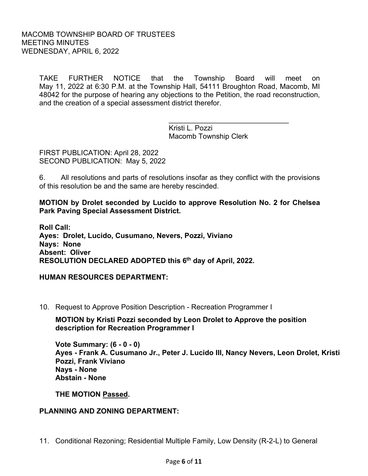TAKE FURTHER NOTICE that the Township Board will meet on May 11, 2022 at 6:30 P.M. at the Township Hall, 54111 Broughton Road, Macomb, MI 48042 for the purpose of hearing any objections to the Petition, the road reconstruction, and the creation of a special assessment district therefor.

 $\overline{\phantom{a}}$  , and the contract of the contract of the contract of the contract of the contract of the contract of the contract of the contract of the contract of the contract of the contract of the contract of the contrac Kristi L. Pozzi Macomb Township Clerk

FIRST PUBLICATION: April 28, 2022 SECOND PUBLICATION: May 5, 2022

6. All resolutions and parts of resolutions insofar as they conflict with the provisions of this resolution be and the same are hereby rescinded.

**MOTION by Drolet seconded by Lucido to approve Resolution No. 2 for Chelsea Park Paving Special Assessment District.** 

**Roll Call: Ayes: Drolet, Lucido, Cusumano, Nevers, Pozzi, Viviano Nays: None Absent: Oliver RESOLUTION DECLARED ADOPTED this 6th day of April, 2022.**

**HUMAN RESOURCES DEPARTMENT:**

10. Request to Approve Position Description - Recreation Programmer I

**MOTION by Kristi Pozzi seconded by Leon Drolet to Approve the position description for Recreation Programmer I** 

**Vote Summary: (6 - 0 - 0) Ayes - Frank A. Cusumano Jr., Peter J. Lucido III, Nancy Nevers, Leon Drolet, Kristi Pozzi, Frank Viviano Nays - None Abstain - None** 

**THE MOTION Passed.**

## **PLANNING AND ZONING DEPARTMENT:**

11. Conditional Rezoning; Residential Multiple Family, Low Density (R-2-L) to General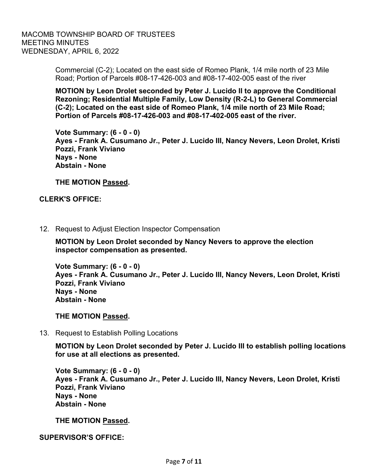MACOMB TOWNSHIP BOARD OF TRUSTEES MEETING MINUTES WEDNESDAY, APRIL 6, 2022

> Commercial (C-2); Located on the east side of Romeo Plank, 1/4 mile north of 23 Mile Road; Portion of Parcels #08-17-426-003 and #08-17-402-005 east of the river

**MOTION by Leon Drolet seconded by Peter J. Lucido II to approve the Conditional Rezoning; Residential Multiple Family, Low Density (R-2-L) to General Commercial (C-2); Located on the east side of Romeo Plank, 1/4 mile north of 23 Mile Road; Portion of Parcels #08-17-426-003 and #08-17-402-005 east of the river.** 

**Vote Summary: (6 - 0 - 0) Ayes - Frank A. Cusumano Jr., Peter J. Lucido III, Nancy Nevers, Leon Drolet, Kristi Pozzi, Frank Viviano Nays - None Abstain - None** 

**THE MOTION Passed.**

### **CLERK'S OFFICE:**

12. Request to Adjust Election Inspector Compensation

**MOTION by Leon Drolet seconded by Nancy Nevers to approve the election inspector compensation as presented.** 

**Vote Summary: (6 - 0 - 0) Ayes - Frank A. Cusumano Jr., Peter J. Lucido III, Nancy Nevers, Leon Drolet, Kristi Pozzi, Frank Viviano Nays - None Abstain - None** 

**THE MOTION Passed.**

13. Request to Establish Polling Locations

**MOTION by Leon Drolet seconded by Peter J. Lucido III to establish polling locations for use at all elections as presented.** 

**Vote Summary: (6 - 0 - 0) Ayes - Frank A. Cusumano Jr., Peter J. Lucido III, Nancy Nevers, Leon Drolet, Kristi Pozzi, Frank Viviano Nays - None Abstain - None** 

**THE MOTION Passed.**

**SUPERVISOR'S OFFICE:**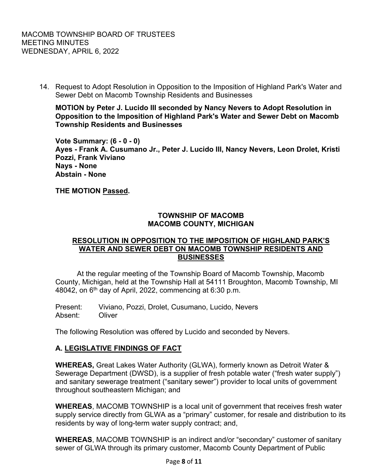14. Request to Adopt Resolution in Opposition to the Imposition of Highland Park's Water and Sewer Debt on Macomb Township Residents and Businesses

**MOTION by Peter J. Lucido III seconded by Nancy Nevers to Adopt Resolution in Opposition to the Imposition of Highland Park's Water and Sewer Debt on Macomb Township Residents and Businesses** 

**Vote Summary: (6 - 0 - 0) Ayes - Frank A. Cusumano Jr., Peter J. Lucido III, Nancy Nevers, Leon Drolet, Kristi Pozzi, Frank Viviano Nays - None Abstain - None** 

**THE MOTION Passed.** 

## **TOWNSHIP OF MACOMB MACOMB COUNTY, MICHIGAN**

## **RESOLUTION IN OPPOSITION TO THE IMPOSITION OF HIGHLAND PARK'S WATER AND SEWER DEBT ON MACOMB TOWNSHIP RESIDENTS AND BUSINESSES**

 At the regular meeting of the Township Board of Macomb Township, Macomb County, Michigan, held at the Township Hall at 54111 Broughton, Macomb Township, MI 48042, on  $6<sup>th</sup>$  day of April, 2022, commencing at 6:30 p.m.

Present: Viviano, Pozzi, Drolet, Cusumano, Lucido, Nevers Absent: Oliver

The following Resolution was offered by Lucido and seconded by Nevers.

## **A. LEGISLATIVE FINDINGS OF FACT**

**WHEREAS,** Great Lakes Water Authority (GLWA), formerly known as Detroit Water & Sewerage Department (DWSD), is a supplier of fresh potable water ("fresh water supply") and sanitary sewerage treatment ("sanitary sewer") provider to local units of government throughout southeastern Michigan; and

**WHEREAS**, MACOMB TOWNSHIP is a local unit of government that receives fresh water supply service directly from GLWA as a "primary" customer, for resale and distribution to its residents by way of long-term water supply contract; and,

**WHEREAS**, MACOMB TOWNSHIP is an indirect and/or "secondary" customer of sanitary sewer of GLWA through its primary customer, Macomb County Department of Public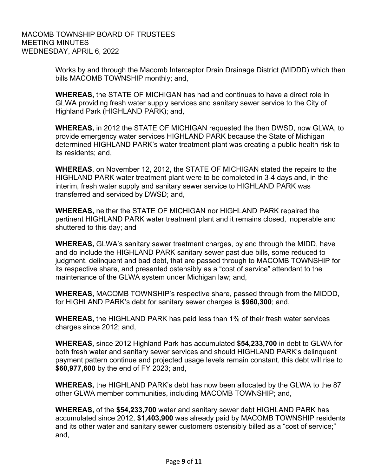Works by and through the Macomb Interceptor Drain Drainage District (MIDDD) which then bills MACOMB TOWNSHIP monthly; and,

**WHEREAS,** the STATE OF MICHIGAN has had and continues to have a direct role in GLWA providing fresh water supply services and sanitary sewer service to the City of Highland Park (HIGHLAND PARK); and,

**WHEREAS,** in 2012 the STATE OF MICHIGAN requested the then DWSD, now GLWA, to provide emergency water services HIGHLAND PARK because the State of Michigan determined HIGHLAND PARK's water treatment plant was creating a public health risk to its residents; and,

**WHEREAS**, on November 12, 2012, the STATE OF MICHIGAN stated the repairs to the HIGHLAND PARK water treatment plant were to be completed in 3-4 days and, in the interim, fresh water supply and sanitary sewer service to HIGHLAND PARK was transferred and serviced by DWSD; and,

**WHEREAS,** neither the STATE OF MICHIGAN nor HIGHLAND PARK repaired the pertinent HIGHLAND PARK water treatment plant and it remains closed, inoperable and shuttered to this day; and

**WHEREAS,** GLWA's sanitary sewer treatment charges, by and through the MIDD, have and do include the HIGHLAND PARK sanitary sewer past due bills, some reduced to judgment, delinquent and bad debt, that are passed through to MACOMB TOWNSHIP for its respective share, and presented ostensibly as a "cost of service" attendant to the maintenance of the GLWA system under Michigan law; and,

**WHEREAS,** MACOMB TOWNSHIP's respective share, passed through from the MIDDD, for HIGHLAND PARK's debt for sanitary sewer charges is **\$960,300**; and,

**WHEREAS,** the HIGHLAND PARK has paid less than 1% of their fresh water services charges since 2012; and,

**WHEREAS,** since 2012 Highland Park has accumulated **\$54,233,700** in debt to GLWA for both fresh water and sanitary sewer services and should HIGHLAND PARK's delinquent payment pattern continue and projected usage levels remain constant, this debt will rise to **\$60,977,600** by the end of FY 2023; and,

**WHEREAS,** the HIGHLAND PARK's debt has now been allocated by the GLWA to the 87 other GLWA member communities, including MACOMB TOWNSHIP; and,

**WHEREAS,** of the **\$54,233,700** water and sanitary sewer debt HIGHLAND PARK has accumulated since 2012, **\$1,403,900** was already paid by MACOMB TOWNSHIP residents and its other water and sanitary sewer customers ostensibly billed as a "cost of service;" and,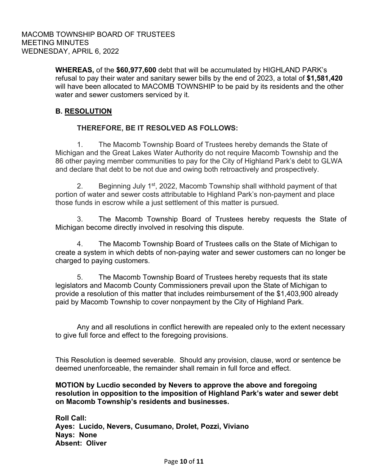**WHEREAS,** of the **\$60,977,600** debt that will be accumulated by HIGHLAND PARK's refusal to pay their water and sanitary sewer bills by the end of 2023, a total of **\$1,581,420** will have been allocated to MACOMB TOWNSHIP to be paid by its residents and the other water and sewer customers serviced by it.

# **B. RESOLUTION**

## **THEREFORE, BE IT RESOLVED AS FOLLOWS:**

 1. The Macomb Township Board of Trustees hereby demands the State of Michigan and the Great Lakes Water Authority do not require Macomb Township and the 86 other paying member communities to pay for the City of Highland Park's debt to GLWA and declare that debt to be not due and owing both retroactively and prospectively.

2. Beginning July 1<sup>st</sup>, 2022, Macomb Township shall withhold payment of that portion of water and sewer costs attributable to Highland Park's non-payment and place those funds in escrow while a just settlement of this matter is pursued.

 3. The Macomb Township Board of Trustees hereby requests the State of Michigan become directly involved in resolving this dispute.

 4. The Macomb Township Board of Trustees calls on the State of Michigan to create a system in which debts of non-paying water and sewer customers can no longer be charged to paying customers.

 5. The Macomb Township Board of Trustees hereby requests that its state legislators and Macomb County Commissioners prevail upon the State of Michigan to provide a resolution of this matter that includes reimbursement of the \$1,403,900 already paid by Macomb Township to cover nonpayment by the City of Highland Park.

Any and all resolutions in conflict herewith are repealed only to the extent necessary to give full force and effect to the foregoing provisions.

This Resolution is deemed severable. Should any provision, clause, word or sentence be deemed unenforceable, the remainder shall remain in full force and effect.

## **MOTION by Lucdio seconded by Nevers to approve the above and foregoing resolution in opposition to the imposition of Highland Park's water and sewer debt on Macomb Township's residents and businesses.**

**Roll Call: Ayes: Lucido, Nevers, Cusumano, Drolet, Pozzi, Viviano Nays: None Absent: Oliver**